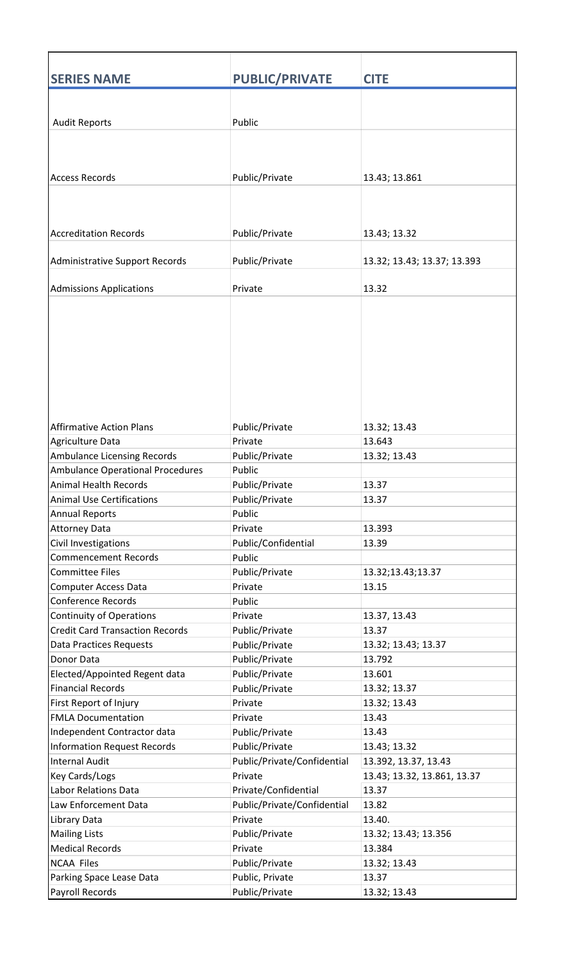| <b>SERIES NAME</b>                     | <b>PUBLIC/PRIVATE</b>       | <b>CITE</b>                 |
|----------------------------------------|-----------------------------|-----------------------------|
|                                        |                             |                             |
|                                        |                             |                             |
| <b>Audit Reports</b>                   | Public                      |                             |
|                                        |                             |                             |
|                                        |                             |                             |
| <b>Access Records</b>                  | Public/Private              | 13.43; 13.861               |
|                                        |                             |                             |
|                                        |                             |                             |
|                                        |                             |                             |
| <b>Accreditation Records</b>           | Public/Private              | 13.43; 13.32                |
|                                        |                             |                             |
| Administrative Support Records         | Public/Private              | 13.32; 13.43; 13.37; 13.393 |
|                                        |                             |                             |
| <b>Admissions Applications</b>         | Private                     | 13.32                       |
|                                        |                             |                             |
|                                        |                             |                             |
|                                        |                             |                             |
|                                        |                             |                             |
|                                        |                             |                             |
|                                        |                             |                             |
|                                        |                             |                             |
|                                        |                             |                             |
| <b>Affirmative Action Plans</b>        | Public/Private              | 13.32; 13.43                |
| Agriculture Data                       | Private                     | 13.643                      |
| Ambulance Licensing Records            | Public/Private              | 13.32; 13.43                |
| Ambulance Operational Procedures       | Public                      |                             |
| Animal Health Records                  | Public/Private              | 13.37                       |
| <b>Animal Use Certifications</b>       | Public/Private              | 13.37                       |
| <b>Annual Reports</b>                  | Public                      |                             |
| <b>Attorney Data</b>                   | Private                     | 13.393                      |
| Civil Investigations                   | Public/Confidential         | 13.39                       |
| <b>Commencement Records</b>            | Public                      |                             |
| <b>Committee Files</b>                 | Public/Private              | 13.32;13.43;13.37           |
| <b>Computer Access Data</b>            | Private                     | 13.15                       |
| <b>Conference Records</b>              | Public                      |                             |
| <b>Continuity of Operations</b>        | Private                     | 13.37, 13.43                |
| <b>Credit Card Transaction Records</b> | Public/Private              | 13.37                       |
| <b>Data Practices Requests</b>         | Public/Private              | 13.32; 13.43; 13.37         |
| Donor Data                             | Public/Private              | 13.792                      |
| Elected/Appointed Regent data          | Public/Private              | 13.601                      |
| <b>Financial Records</b>               | Public/Private              | 13.32; 13.37                |
| First Report of Injury                 | Private                     | 13.32; 13.43                |
| <b>FMLA Documentation</b>              | Private                     | 13.43                       |
| Independent Contractor data            | Public/Private              | 13.43                       |
| <b>Information Request Records</b>     | Public/Private              | 13.43; 13.32                |
| <b>Internal Audit</b>                  | Public/Private/Confidential | 13.392, 13.37, 13.43        |
| <b>Key Cards/Logs</b>                  | Private                     | 13.43; 13.32, 13.861, 13.37 |
| Labor Relations Data                   | Private/Confidential        | 13.37                       |
| Law Enforcement Data                   | Public/Private/Confidential | 13.82                       |
| Library Data                           | Private                     | 13.40.                      |
| <b>Mailing Lists</b>                   | Public/Private              | 13.32; 13.43; 13.356        |
| <b>Medical Records</b>                 | Private                     | 13.384                      |
| <b>NCAA Files</b>                      | Public/Private              | 13.32; 13.43                |
| Parking Space Lease Data               | Public, Private             | 13.37                       |
| Payroll Records                        | Public/Private              | 13.32; 13.43                |